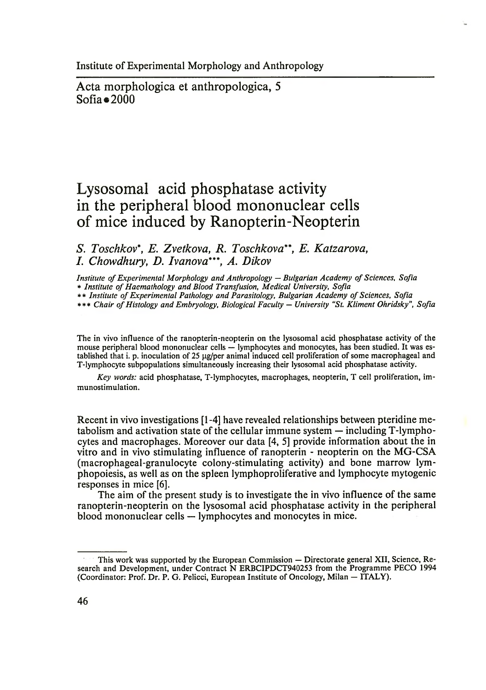Acta morphologica et anthropologica, 5  $Sofia \bullet 2000$ 

## **Lysosomal acid phosphatase activity in the peripheral blood mononuclear cells of mice induced by Ranopterin-Neopterin**

*S. Toschkov\*, E. Zvetkova, R. Toschkov a\*\*, E. Katzarova, I. Chowdhury, D. Ivanova\*\*\*, A. Dikov*

*Institute of Experimental Morphology and Anthropology* — *Bulgarian Academy of Sciences, Sofia* \* *Institute of Haemathology and Blood Transfusion, Medical University, Sofia*

\*\* Institute of Experimental Pathology and Parasitology, Bulgarian Academy of Sciences, Sofia

\*\*\* *Chair of Histology and Embryology, Biological Faculty* — *University "St. Kliment Ohridsky", Sofia*

The in vivo influence of the ranopterin-neopterin on the lysosomal acid phosphatase activity of the mouse peripheral blood mononuclear cells — lymphocytes and monocytes, has been studied. It was established that i. p. inoculation of 25 µg/per animal induced cell proliferation of some macrophageal and T-lymphocyte subpopulations simultaneously increasing their lysosomal acid phosphatase activity.

*Key words:* acid phosphatase, T-lymphocytes, macrophages, neopterin, T cell proliferation, immunostimulation.

Recent in vivo investigations [1-4] have revealed relationships between pteridine metabolism and activation state of the cellular immune system — including T-lymphocytes and macrophages. Moreover our data [4, 5] provide information about the in vitro and in vivo stimulating influence of ranopterin - neopterin on the MG-CSA (macrophageal-granulocyte colony-stimulating activity) and bone marrow lymphopoiesis, as well as on the spleen lymphoproliferative and lymphocyte mytogenic responses in mice [6].

The aim of the present study is to investigate the in vivo influence of the same ranopterin-neopterin on the lysosomal acid phosphatase activity in the peripheral blood mononuclear cells — lymphocytes and monocytes in mice.

This work was supported by the European Commission — Directorate general XII, Science, Research and Development, under Contract N ERBCIPDCT940253 from the Programme PECO 1994 (Coordinator: Prof. Dr. P. G. Pelicci, European Institute of Oncology, Milan — ITALY).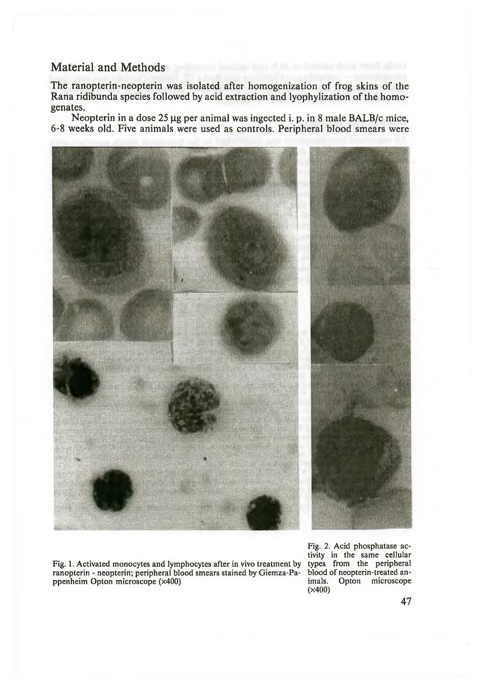## Material and Methods

The ranopterin-neopterin was isolated after homogenization of frog skins of the Rana ridibunda species followed by acid extraction and lyophylization of the homogenates.

Neopterin in a dose  $25 \mu g$  per animal was ingected i. p. in 8 male BALB/c mice, 6-8 weeks old. Five animals were used as controls. Peripheral blood smears were



Fig. 1. Activated monocytes and lymphocytes after in vivo treatment by types from the peripheral ranopterin - neopterin: peripheral blood smears stained by Giemza-Pa- blood of neopterin-treated anranopterin - neopterin; peripheral blood smears stained by Giemza-Pa- blood of neopterin-treated an-<br>ppenheim Opton microscope ( $\times$ 400) ppenheim Opton microscope (×400)

Fig. 2. Acid phosphatase activity in the same cellular<br>types from the peripheral (X400)